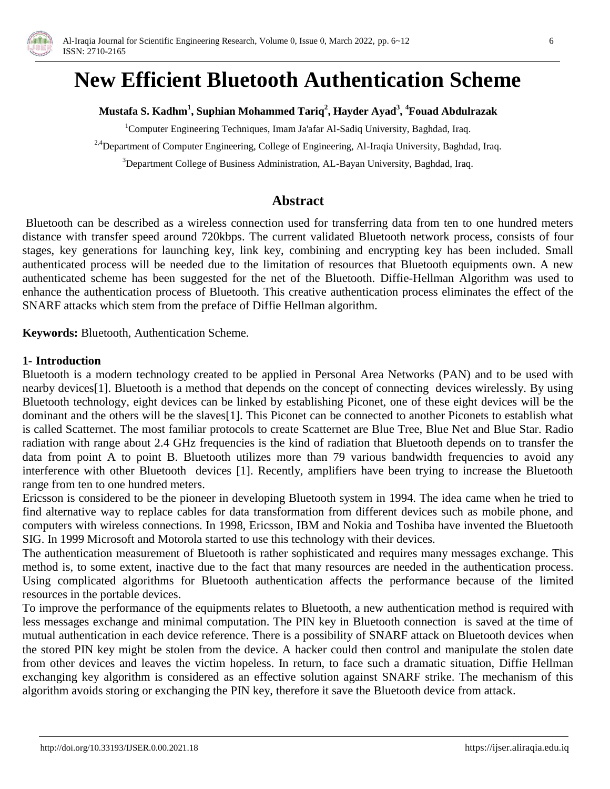

# **New Efficient Bluetooth Authentication Scheme**

#### **Mustafa S. Kadhm<sup>1</sup> , Suphian Mohammed Tariq<sup>2</sup> , Hayder Ayad<sup>3</sup> , <sup>4</sup>Fouad Abdulrazak**

 $1$ Computer Engineering Techniques, Imam Ja'afar Al-Sadiq University, Baghdad, Iraq.

<sup>2,4</sup>Department of Computer Engineering, College of Engineering, Al-Iraqia University, Baghdad, Iraq.

<sup>3</sup>Department College of Business Administration, AL-Bayan University, Baghdad, Iraq.

## **Abstract**

Bluetooth can be described as a wireless connection used for transferring data from ten to one hundred meters distance with transfer speed around 720kbps. The current validated Bluetooth network process, consists of four stages, key generations for launching key, link key, combining and encrypting key has been included. Small authenticated process will be needed due to the limitation of resources that Bluetooth equipments own. A new authenticated scheme has been suggested for the net of the Bluetooth. Diffie-Hellman Algorithm was used to enhance the authentication process of Bluetooth. This creative authentication process eliminates the effect of the SNARF attacks which stem from the preface of Diffie Hellman algorithm.

**Keywords:** Bluetooth, Authentication Scheme.

#### **1- Introduction**

Bluetooth is a modern technology created to be applied in Personal Area Networks (PAN) and to be used with nearby devices[1]. Bluetooth is a method that depends on the concept of connecting devices wirelessly. By using Bluetooth technology, eight devices can be linked by establishing Piconet, one of these eight devices will be the dominant and the others will be the slaves[1]. This Piconet can be connected to another Piconets to establish what is called Scatternet. The most familiar protocols to create Scatternet are Blue Tree, Blue Net and Blue Star. Radio radiation with range about 2.4 GHz frequencies is the kind of radiation that Bluetooth depends on to transfer the data from point A to point B. Bluetooth utilizes more than 79 various bandwidth frequencies to avoid any interference with other Bluetooth devices [1]. Recently, amplifiers have been trying to increase the Bluetooth range from ten to one hundred meters.

Ericsson is considered to be the pioneer in developing Bluetooth system in 1994. The idea came when he tried to find alternative way to replace cables for data transformation from different devices such as mobile phone, and computers with wireless connections. In 1998, Ericsson, IBM and Nokia and Toshiba have invented the Bluetooth SIG. In 1999 Microsoft and Motorola started to use this technology with their devices.

The authentication measurement of Bluetooth is rather sophisticated and requires many messages exchange. This method is, to some extent, inactive due to the fact that many resources are needed in the authentication process. Using complicated algorithms for Bluetooth authentication affects the performance because of the limited resources in the portable devices.

To improve the performance of the equipments relates to Bluetooth, a new authentication method is required with less messages exchange and minimal computation. The PIN key in Bluetooth connection is saved at the time of mutual authentication in each device reference. There is a possibility of SNARF attack on Bluetooth devices when the stored PIN key might be stolen from the device. A hacker could then control and manipulate the stolen date from other devices and leaves the victim hopeless. In return, to face such a dramatic situation, Diffie Hellman exchanging key algorithm is considered as an effective solution against SNARF strike. The mechanism of this algorithm avoids storing or exchanging the PIN key, therefore it save the Bluetooth device from attack.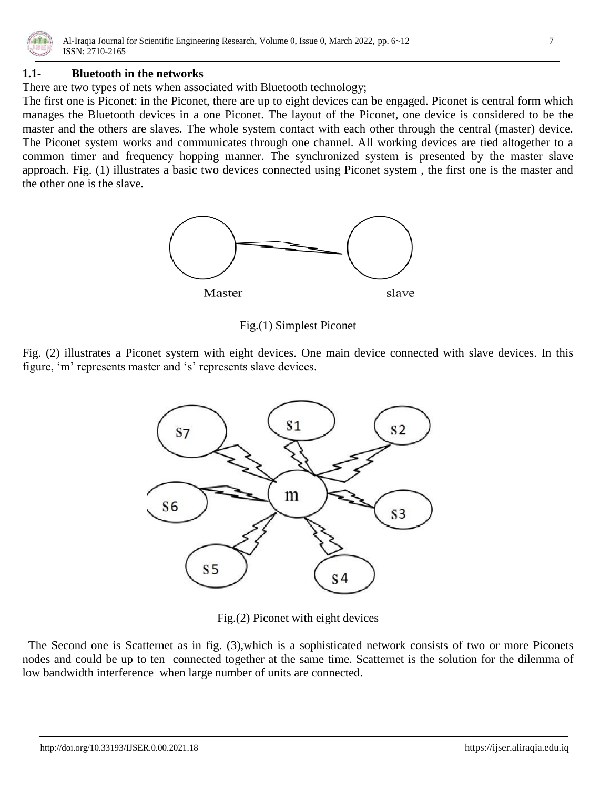

#### **1.1- Bluetooth in the networks**

There are two types of nets when associated with Bluetooth technology;

The first one is Piconet: in the Piconet, there are up to eight devices can be engaged. Piconet is central form which manages the Bluetooth devices in a one Piconet. The layout of the Piconet, one device is considered to be the master and the others are slaves. The whole system contact with each other through the central (master) device. The Piconet system works and communicates through one channel. All working devices are tied altogether to a common timer and frequency hopping manner. The synchronized system is presented by the master slave approach. Fig. (1) illustrates a basic two devices connected using Piconet system , the first one is the master and the other one is the slave.



Fig.(1) Simplest Piconet

Fig. (2) illustrates a Piconet system with eight devices. One main device connected with slave devices. In this figure, 'm' represents master and 's' represents slave devices.



Fig.(2) Piconet with eight devices

 The Second one is Scatternet as in fig. (3),which is a sophisticated network consists of two or more Piconets nodes and could be up to ten connected together at the same time. Scatternet is the solution for the dilemma of low bandwidth interference when large number of units are connected.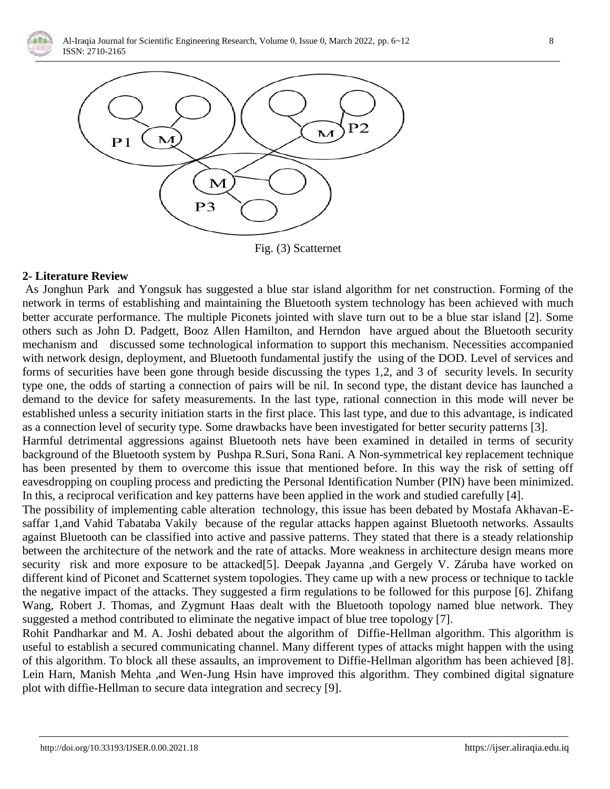



Fig. (3) Scatternet

#### **2- Literature Review**

As Jonghun Park and Yongsuk has suggested a blue star island algorithm for net construction. Forming of the network in terms of establishing and maintaining the Bluetooth system technology has been achieved with much better accurate performance. The multiple Piconets jointed with slave turn out to be a blue star island [2]. Some others such as John D. Padgett, Booz Allen Hamilton, and Herndon have argued about the Bluetooth security mechanism and discussed some technological information to support this mechanism. Necessities accompanied with network design, deployment, and Bluetooth fundamental justify the using of the DOD. Level of services and forms of securities have been gone through beside discussing the types 1,2, and 3 of security levels. In security type one, the odds of starting a connection of pairs will be nil. In second type, the distant device has launched a demand to the device for safety measurements. In the last type, rational connection in this mode will never be established unless a security initiation starts in the first place. This last type, and due to this advantage, is indicated as a connection level of security type. Some drawbacks have been investigated for better security patterns [3].

Harmful detrimental aggressions against Bluetooth nets have been examined in detailed in terms of security background of the Bluetooth system by Pushpa R.Suri, Sona Rani. A Non-symmetrical key replacement technique has been presented by them to overcome this issue that mentioned before. In this way the risk of setting off eavesdropping on coupling process and predicting the Personal Identification Number (PIN) have been minimized. In this, a reciprocal verification and key patterns have been applied in the work and studied carefully [4].

The possibility of implementing cable alteration technology, this issue has been debated by Mostafa Akhavan-Esaffar 1,and Vahid Tabataba Vakily because of the regular attacks happen against Bluetooth networks. Assaults against Bluetooth can be classified into active and passive patterns. They stated that there is a steady relationship between the architecture of the network and the rate of attacks. More weakness in architecture design means more security risk and more exposure to be attacked[5]. Deepak Jayanna ,and Gergely V. Záruba have worked on different kind of Piconet and Scatternet system topologies. They came up with a new process or technique to tackle the negative impact of the attacks. They suggested a firm regulations to be followed for this purpose [6]. Zhifang Wang, Robert J. Thomas, and Zygmunt Haas dealt with the Bluetooth topology named blue network. They suggested a method contributed to eliminate the negative impact of blue tree topology [7].

Rohit Pandharkar and M. A. Joshi debated about the algorithm of Diffie-Hellman algorithm. This algorithm is useful to establish a secured communicating channel. Many different types of attacks might happen with the using of this algorithm. To block all these assaults, an improvement to Diffie-Hellman algorithm has been achieved [8]. Lein Harn, Manish Mehta ,and Wen-Jung Hsin have improved this algorithm. They combined digital signature plot with diffie-Hellman to secure data integration and secrecy [9].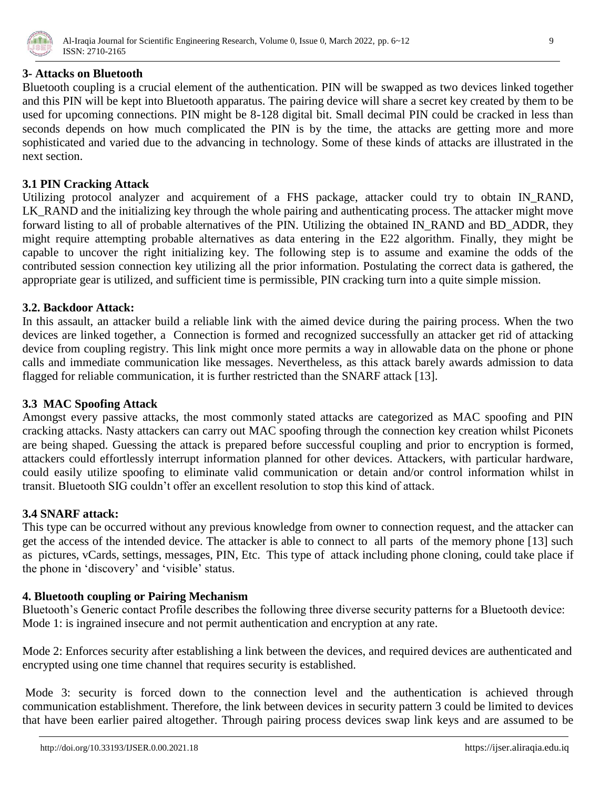

## **3- Attacks on Bluetooth**

Bluetooth coupling is a crucial element of the authentication. PIN will be swapped as two devices linked together and this PIN will be kept into Bluetooth apparatus. The pairing device will share a secret key created by them to be used for upcoming connections. PIN might be 8-128 digital bit. Small decimal PIN could be cracked in less than seconds depends on how much complicated the PIN is by the time, the attacks are getting more and more sophisticated and varied due to the advancing in technology. Some of these kinds of attacks are illustrated in the next section.

# **3.1 PIN Cracking Attack**

Utilizing protocol analyzer and acquirement of a FHS package, attacker could try to obtain IN\_RAND, LK\_RAND and the initializing key through the whole pairing and authenticating process. The attacker might move forward listing to all of probable alternatives of the PIN. Utilizing the obtained IN\_RAND and BD\_ADDR, they might require attempting probable alternatives as data entering in the E22 algorithm. Finally, they might be capable to uncover the right initializing key. The following step is to assume and examine the odds of the contributed session connection key utilizing all the prior information. Postulating the correct data is gathered, the appropriate gear is utilized, and sufficient time is permissible, PIN cracking turn into a quite simple mission.

## **3.2. Backdoor Attack:**

In this assault, an attacker build a reliable link with the aimed device during the pairing process. When the two devices are linked together, a Connection is formed and recognized successfully an attacker get rid of attacking device from coupling registry. This link might once more permits a way in allowable data on the phone or phone calls and immediate communication like messages. Nevertheless, as this attack barely awards admission to data flagged for reliable communication, it is further restricted than the SNARF attack [13].

# **3.3 MAC Spoofing Attack**

Amongst every passive attacks, the most commonly stated attacks are categorized as MAC spoofing and PIN cracking attacks. Nasty attackers can carry out MAC spoofing through the connection key creation whilst Piconets are being shaped. Guessing the attack is prepared before successful coupling and prior to encryption is formed, attackers could effortlessly interrupt information planned for other devices. Attackers, with particular hardware, could easily utilize spoofing to eliminate valid communication or detain and/or control information whilst in transit. Bluetooth SIG couldn"t offer an excellent resolution to stop this kind of attack.

#### **3.4 SNARF attack:**

This type can be occurred without any previous knowledge from owner to connection request, and the attacker can get the access of the intended device. The attacker is able to connect to all parts of the memory phone [13] such as pictures, vCards, settings, messages, PIN, Etc. This type of attack including phone cloning, could take place if the phone in "discovery" and "visible" status.

# **4. Bluetooth coupling or Pairing Mechanism**

Bluetooth's Generic contact Profile describes the following three diverse security patterns for a Bluetooth device: Mode 1: is ingrained insecure and not permit authentication and encryption at any rate.

Mode 2: Enforces security after establishing a link between the devices, and required devices are authenticated and encrypted using one time channel that requires security is established.

Mode 3: security is forced down to the connection level and the authentication is achieved through communication establishment. Therefore, the link between devices in security pattern 3 could be limited to devices that have been earlier paired altogether. Through pairing process devices swap link keys and are assumed to be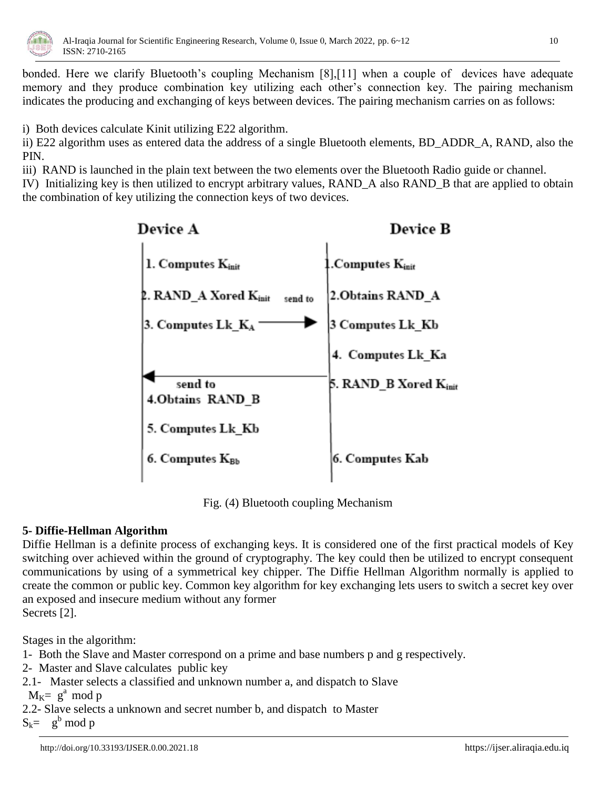

bonded. Here we clarify Bluetooth's coupling Mechanism [8],[11] when a couple of devices have adequate memory and they produce combination key utilizing each other"s connection key. The pairing mechanism indicates the producing and exchanging of keys between devices. The pairing mechanism carries on as follows:

i) Both devices calculate Kinit utilizing E22 algorithm.

ii) E22 algorithm uses as entered data the address of a single Bluetooth elements, BD\_ADDR\_A, RAND, also the PIN.

iii) RAND is launched in the plain text between the two elements over the Bluetooth Radio guide or channel. IV) Initializing key is then utilized to encrypt arbitrary values, RAND\_A also RAND\_B that are applied to obtain the combination of key utilizing the connection keys of two devices.



Fig. (4) Bluetooth coupling Mechanism

# **5- Diffie-Hellman Algorithm**

Diffie Hellman is a definite process of exchanging keys. It is considered one of the first practical models of Key switching over achieved within the ground of cryptography. The key could then be utilized to encrypt consequent communications by using of a symmetrical key chipper. The Diffie Hellman Algorithm normally is applied to create the common or public key. Common key algorithm for key exchanging lets users to switch a secret key over an exposed and insecure medium without any former Secrets [2].

Stages in the algorithm:

- 1- Both the Slave and Master correspond on a prime and base numbers p and g respectively.
- 2- Master and Slave calculates public key
- 2.1- Master selects a classified and unknown number a, and dispatch to Slave

 $M_K = g^a \mod p$ 

2.2- Slave selects a unknown and secret number b, and dispatch to Master

 $S_k = g^b \mod p$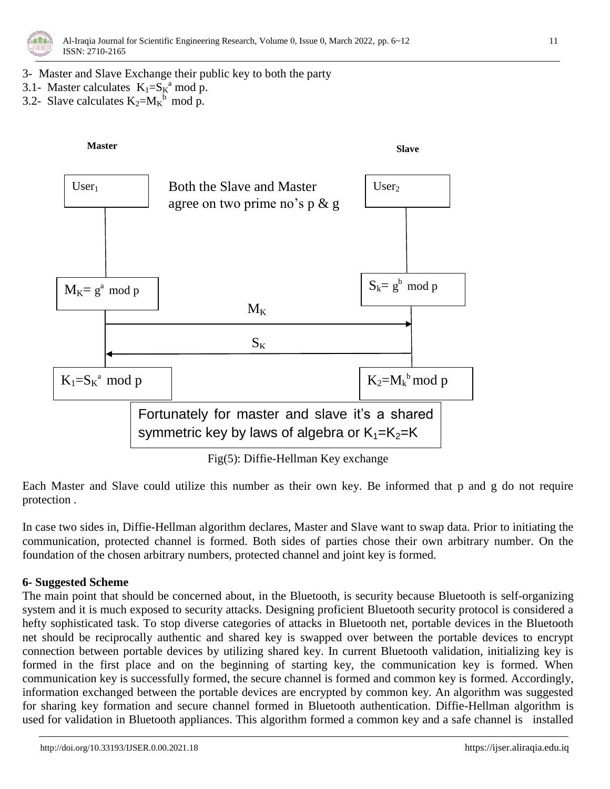

- 3- Master and Slave Exchange their public key to both the party
- 3.1- Master calculates  $K_1 = S_K^a$  mod p.
- 3.2- Slave calculates  $K_2 = M_K^b \mod p$ .



Fig(5): Diffie-Hellman Key exchange

Each Master and Slave could utilize this number as their own key. Be informed that p and g do not require protection .

In case two sides in, Diffie-Hellman algorithm declares, Master and Slave want to swap data. Prior to initiating the communication, protected channel is formed. Both sides of parties chose their own arbitrary number. On the foundation of the chosen arbitrary numbers, protected channel and joint key is formed.

#### **6- Suggested Scheme**

The main point that should be concerned about, in the Bluetooth, is security because Bluetooth is self-organizing system and it is much exposed to security attacks. Designing proficient Bluetooth security protocol is considered a hefty sophisticated task. To stop diverse categories of attacks in Bluetooth net, portable devices in the Bluetooth net should be reciprocally authentic and shared key is swapped over between the portable devices to encrypt connection between portable devices by utilizing shared key. In current Bluetooth validation, initializing key is formed in the first place and on the beginning of starting key, the communication key is formed. When communication key is successfully formed, the secure channel is formed and common key is formed. Accordingly, information exchanged between the portable devices are encrypted by common key. An algorithm was suggested for sharing key formation and secure channel formed in Bluetooth authentication. Diffie-Hellman algorithm is used for validation in Bluetooth appliances. This algorithm formed a common key and a safe channel is installed